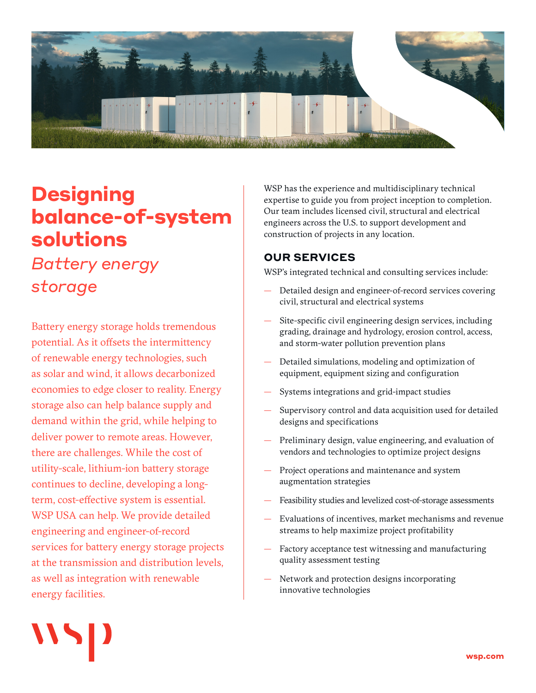

# **Designing balance-of-system solutions**

*Battery energy storage*

Battery energy storage holds tremendous potential. As it offsets the intermittency of renewable energy technologies, such as solar and wind, it allows decarbonized economies to edge closer to reality. Energy storage also can help balance supply and demand within the grid, while helping to deliver power to remote areas. However, there are challenges. While the cost of utility-scale, lithium-ion battery storage continues to decline, developing a longterm, cost-effective system is essential. WSP USA can help. We provide detailed engineering and engineer-of-record services for battery energy storage projects at the transmission and distribution levels, as well as integration with renewable energy facilities.

WSP has the experience and multidisciplinary technical expertise to guide you from project inception to completion. Our team includes licensed civil, structural and electrical engineers across the U.S. to support development and construction of projects in any location.

## **OUR SERVICES**

WSP's integrated technical and consulting services include:

- Detailed design and engineer-of-record services covering civil, structural and electrical systems
- Site-specific civil engineering design services, including grading, drainage and hydrology, erosion control, access, and storm-water pollution prevention plans
- Detailed simulations, modeling and optimization of equipment, equipment sizing and configuration
- Systems integrations and grid-impact studies
- Supervisory control and data acquisition used for detailed designs and specifications
- Preliminary design, value engineering, and evaluation of vendors and technologies to optimize project designs
- Project operations and maintenance and system augmentation strategies
- Feasibility studies and levelized cost-of-storage assessments
- Evaluations of incentives, market mechanisms and revenue streams to help maximize project profitability
- Factory acceptance test witnessing and manufacturing quality assessment testing
- Network and protection designs incorporating innovative technologies